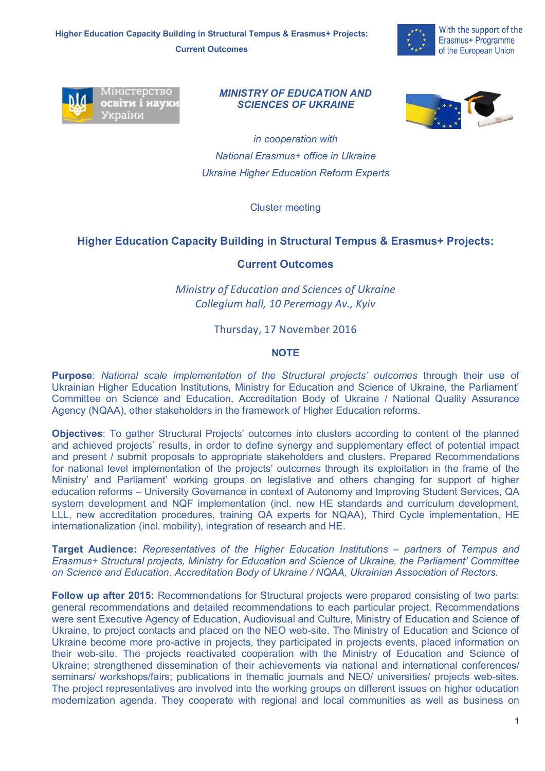



*MINISTRY OF EDUCATION AND SCIENCES OF UKRAINE*



*in cooperation with National Erasmus+ office in Ukraine Ukraine Higher Education Reform Experts*

Cluster meeting

# **Higher Education Capacity Building in Structural Tempus & Erasmus+ Projects:**

# **Current Outcomes**

*Ministry of Education and Sciences of Ukraine Collegium hall, 10 Peremogy Av., Kyiv*

Thursday, 17 November 2016

# **NOTE**

**Purpose**: *National scale implementation of the Structural projects' outcomes* through their use of Ukrainian Higher Education Institutions, Ministry for Education and Science of Ukraine, the Parliament' Committee on Science and Education, Accreditation Body of Ukraine / National Quality Assurance Agency (NQAA), other stakeholders in the framework of Higher Education reforms.

**Objectives**: To gather Structural Projects' outcomes into clusters according to content of the planned and achieved projects' results, in order to define synergy and supplementary effect of potential impact and present / submit proposals to appropriate stakeholders and clusters. Prepared Recommendations for national level implementation of the projects' outcomes through its exploitation in the frame of the Ministry' and Parliament' working groups on legislative and others changing for support of higher education reforms – University Governance in context of Autonomy and Improving Student Services, QA system development and NQF implementation (incl. new HE standards and curriculum development, LLL, new accreditation procedures, training QA experts for NQAA), Third Cycle implementation, HE internationalization (incl. mobility), integration of research and HE.

**Target Audience:** *Representatives of the Higher Education Institutions – partners of Tempus and Erasmus+ Structural projects, Ministry for Education and Science of Ukraine, the Parliament' Committee on Science and Education, Accreditation Body of Ukraine / NQAA, Ukrainian Association of Rectors.*

**Follow up after 2015:** Recommendations for Structural projects were prepared consisting of two parts: general recommendations and detailed recommendations to each particular project. Recommendations were sent Executive Agency of Education, Audiovisual and Culture, Ministry of Education and Science of Ukraine, to project contacts and placed on the NEO web-site. The Ministry of Education and Science of Ukraine become more pro-active in projects, they participated in projects events, placed information on their web-site. The projects reactivated cooperation with the Ministry of Education and Science of Ukraine; strengthened dissemination of their achievements via national and international conferences/ seminars/ workshops/fairs; publications in thematic journals and NEO/ universities/ projects web-sites. The project representatives are involved into the working groups on different issues on higher education modernization agenda. They cooperate with regional and local communities as well as business on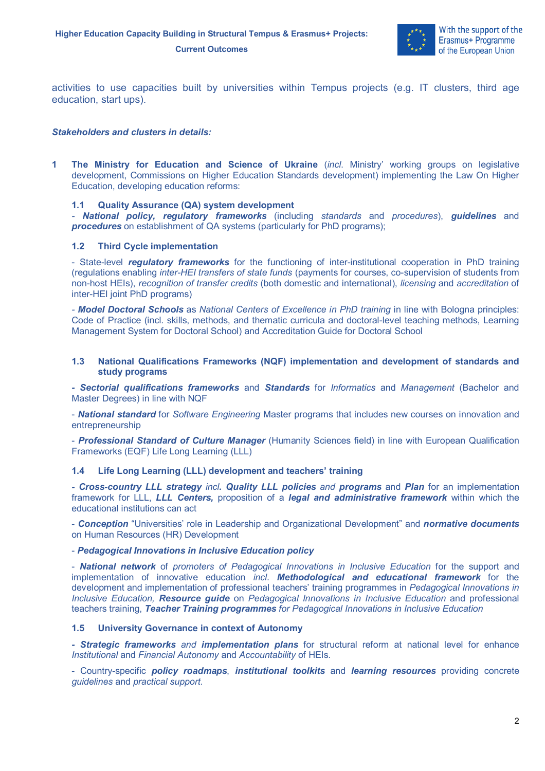

activities to use capacities built by universities within Tempus projects (e.g. IT clusters, third age education, start ups).

# *Stakeholders and clusters in details:*

**1 The Ministry for Education and Science of Ukraine** (*incl*. Ministry' working groups on legislative development, Commissions on Higher Education Standards development) implementing the Law On Higher Education, developing education reforms:

# **1.1 Quality Assurance (QA) system development**

*- National policy, regulatory frameworks* (including *standards* and *procedures*), *guidelines* and *procedures* on establishment of QA systems (particularly for PhD programs);

## **1.2 Third Cycle implementation**

- State-level *regulatory frameworks* for the functioning of inter-institutional cooperation in PhD training (regulations enabling *inter-HEI transfers of state funds* (payments for courses, co-supervision of students from non-host HEIs), *recognition of transfer credits* (both domestic and international), *licensing* and *accreditation* of inter-HEI joint PhD programs)

*- Model Doctoral Schools* as *National Centers of Excellence in PhD training* in line with Bologna principles: Code of Practice (incl. skills, methods, and thematic curricula and doctoral-level teaching methods, Learning Management System for Doctoral School) and Accreditation Guide for Doctoral School

## **1.3 National Qualifications Frameworks (NQF) implementation and development of standards and study programs**

*- Sectorial qualifications frameworks* and *Standards* for *Informatics* and *Management* (Bachelor and Master Degrees) in line with NQF

- *National standard* for *Software Engineering* Master programs that includes new courses on innovation and entrepreneurship

- *Professional Standard of Culture Manager* (Humanity Sciences field) in line with European Qualification Frameworks (EQF) Life Long Learning (LLL)

## **1.4 Life Long Learning (LLL) development and teachers' training**

*- Cross-country LLL strategy incl. Quality LLL policies and programs* and *Plan* for an implementation framework for LLL, *LLL Centers,* proposition of a *legal and administrative framework* within which the educational institutions can act

- *Conception* "Universities' role in Leadership and Organizational Development" and *normative documents* on Human Resources (HR) Development

# - *Pedagogical Innovations in Inclusive Education policy*

- *National network* of *promoters of Pedagogical Innovations in Inclusive Education* for the support and implementation of innovative education *incl*. *Methodological and educational framework* for the development and implementation of professional teachers' training programmes in *Pedagogical Innovations in Inclusive Education, Resource guide* on *Pedagogical Innovations in Inclusive Education* and professional teachers training, *Teacher Training programmes for Pedagogical Innovations in Inclusive Education*

## **1.5 University Governance in context of Autonomy**

*- Strategic frameworks and implementation plans* for structural reform at national level for enhance *Institutional* and *Financial Autonomy* and *Accountability* of HEIs.

- Country-specific *policy roadmaps*, *institutional toolkits* and *learning resources* providing concrete *guidelines* and *practical support.*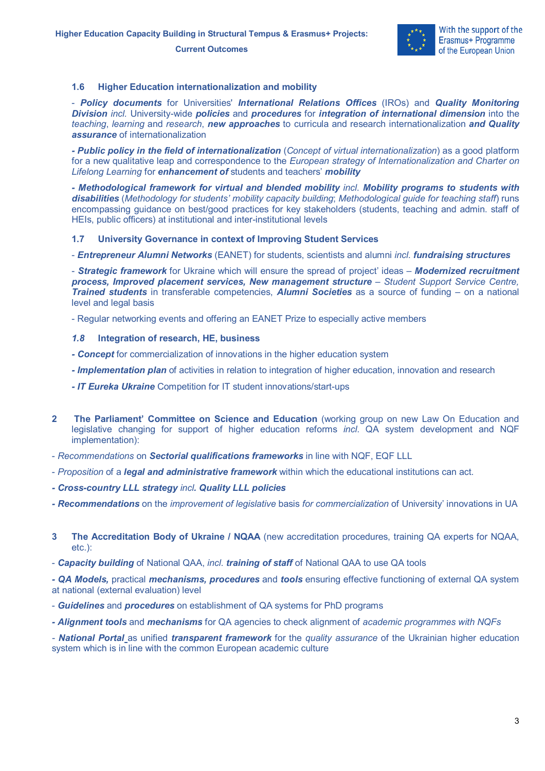

# **1.6 Higher Education internationalization and mobility**

- *Policy documents* for Universities' *International Relations Offices* (IROs) and *Quality Monitoring Division incl.* University-wide *policies* and *procedures* for *integration of international dimension* into the *teaching*, *learning* and *research*, *new approaches* to curricula and research internationalization *and Quality assurance* of internationalization

*- Public policy in the field of internationalization* (*Concept of virtual internationalization*) as a good platform for a new qualitative leap and correspondence to the *European strategy of Internationalization and Charter on Lifelong Learning* for *enhancement of* students and teachers' *mobility*

*- Methodological framework for virtual and blended mobility incl*. *Mobility programs to students with disabilities* (*Methodology for students' mobility capacity building*; *Methodological guide for teaching staff*) runs encompassing guidance on best/good practices for key stakeholders (students, teaching and admin. staff of HEIs, public officers) at institutional and inter-institutional levels

## **1.7 University Governance in context of Improving Student Services**

- *Entrepreneur Alumni Networks* (EANET) for students, scientists and alumni *incl*. *fundraising structures*

- *Strategic framework* for Ukraine which will ensure the spread of project' ideas – *Modernized recruitment process, Improved placement services, New management structure* – *Student Support Service Centre, Trained students* in transferable competencies, *Alumni Societies* as a source of funding – on a national level and legal basis

- Regular networking events and offering an EANET Prize to especially active members

# *1.8* **Integration of research, HE, business**

- *- Concept* for commercialization of innovations in the higher education system
- *- Implementation plan* of activities in relation to integration of higher education, innovation and research
- *- IT Eureka Ukraine* Competition for IT student innovations/start-ups
- **2 The Parliament' Committee on Science and Education** (working group on new Law On Education and legislative changing for support of higher education reforms *incl*. QA system development and NQF implementation):
- *Recommendations* on *Sectorial qualifications frameworks* in line with NQF, EQF LLL
- *Proposition* of a *legal and administrative framework* within which the educational institutions can act.
- *- Cross-country LLL strategy incl. Quality LLL policies*
- *- Recommendations* on the *improvement of legislative* basis *for commercialization* of University' innovations in UA
- **3 The Accreditation Body of Ukraine / NQAA** (new accreditation procedures, training QA experts for NQAA, etc.):
- *Capacity building* of National QAA, *incl*. *training of staff* of National QAA to use QA tools

*- QA Models,* practical *mechanisms, procedures* and *tools* ensuring effective functioning of external QA system at national (external evaluation) level

- *Guidelines* and *procedures* on establishment of QA systems for PhD programs
- *- Alignment tools* and *mechanisms* for QA agencies to check alignment of *academic programmes with NQFs*

*- National Portal* as unified *transparent framework* for the *quality assurance* of the Ukrainian higher education system which is in line with the common European academic culture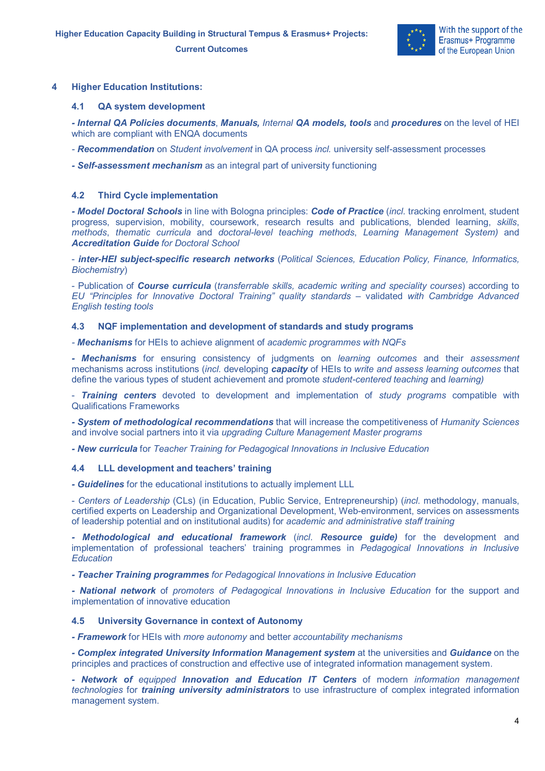

# **4 Higher Education Institutions:**

## **4.1 QA system development**

*- Internal QA Policies documents*, *Manuals, Internal QA models, tools* and *procedures* on the level of HEI which are compliant with ENQA documents

*- Recommendation* on *Student involvement* in QA process *incl.* university self-assessment processes

*- Self-assessment mechanism* as an integral part of university functioning

## **4.2 Third Cycle implementation**

*- Model Doctoral Schools* in line with Bologna principles: *Code of Practice* (*incl*. tracking enrolment, student progress, supervision, mobility, coursework, research results and publications, blended learning, *skills*, *methods*, *thematic curricula* and *doctoral-level teaching methods*, *Learning Management System)* and *Accreditation Guide for Doctoral School*

- *inter-HEI subject-specific research networks* (*Political Sciences, Education Policy, Finance, Informatics, Biochemistry*)

- Publication of *Course curricula* (*transferrable skills, academic writing and speciality courses*) according to *EU "Principles for Innovative Doctoral Training" quality standards* – validated *with Cambridge Advanced English testing tools*

#### **4.3 NQF implementation and development of standards and study programs**

*- Mechanisms* for HEIs to achieve alignment of *academic programmes with NQFs*

*- Mechanisms* for ensuring consistency of judgments on *learning outcomes* and their *assessment* mechanisms across institutions (*incl*. developing *capacity* of HEIs to *write and assess learning outcomes* that define the various types of student achievement and promote *student-centered teaching* and *learning)*

- *Training centers* devoted to development and implementation of *study programs* compatible with Qualifications Frameworks

*- System of methodological recommendations* that will increase the competitiveness of *Humanity Sciences* and involve social partners into it via *upgrading Culture Management Master programs*

*- New curricula* for *Teacher Training for Pedagogical Innovations in Inclusive Education*

## **4.4 LLL development and teachers' training**

*- Guidelines* for the educational institutions to actually implement LLL

- *Centers of Leadership* (CLs) (in Education, Public Service, Entrepreneurship) (*incl*. methodology, manuals, certified experts on Leadership and Organizational Development, Web-environment, services on assessments of leadership potential and on institutional audits) for *academic and administrative staff training*

*- Methodological and educational framework* (*incl*. *Resource guide)* for the development and implementation of professional teachers' training programmes in *Pedagogical Innovations in Inclusive Education*

*- Teacher Training programmes for Pedagogical Innovations in Inclusive Education*

*- National network* of *promoters of Pedagogical Innovations in Inclusive Education* for the support and implementation of innovative education

#### **4.5 University Governance in context of Autonomy**

*- Framework* for HEIs with *more autonomy* and better *accountability mechanisms*

*- Сomplex integrated University Information Management system* at the universities and *Guidance* on the principles and practices of construction and effective use of integrated information management system.

*- Network of equipped Innovation and Education IT Centers* of modern *information management technologies* for *training university administrators* to use infrastructure of complex integrated information management system.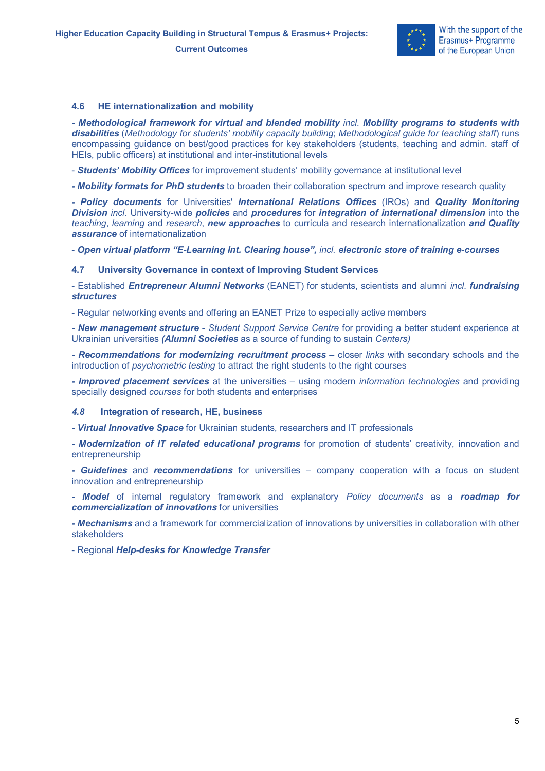

# **4.6 HE internationalization and mobility**

*- Methodological framework for virtual and blended mobility incl*. *Mobility programs to students with disabilities* (*Methodology for students' mobility capacity building*; *Methodological guide for teaching staff*) runs encompassing guidance on best/good practices for key stakeholders (students, teaching and admin. staff of HEIs, public officers) at institutional and inter-institutional levels

- *Students' Mobility Offices* for improvement students' mobility governance at institutional level

*- Mobility formats for PhD students* to broaden their collaboration spectrum and improve research quality

*- Policy documents* for Universities' *International Relations Offices* (IROs) and *Quality Monitoring Division incl.* University-wide *policies* and *procedures* for *integration of international dimension* into the *teaching*, *learning* and *research*, *new approaches* to curricula and research internationalization *and Quality assurance* of internationalization

- *Open virtual platform "E-Learning Int. Clearing house", incl. electronic store of training e-courses*

#### **4.7 University Governance in context of Improving Student Services**

- Established *Entrepreneur Alumni Networks* (EANET) for students, scientists and alumni *incl*. *fundraising structures*

- Regular networking events and offering an EANET Prize to especially active members

*- New management structure* - *Student Support Service Centre* for providing a better student experience at Ukrainian universities *(Alumni Societies* as a source of funding to sustain *Centers)*

*- Recommendations for modernizing recruitment process* – closer *links* with secondary schools and the introduction of *psychometric testing* to attract the right students to the right courses

*- Improved placement services* at the universities – using modern *information technologies* and providing specially designed *courses* for both students and enterprises

## *4.8* **Integration of research, HE, business**

*- Virtual Innovative Space* for Ukrainian students, researchers and IT professionals

*- Modernization of IT related educational programs* for promotion of students' creativity, innovation and entrepreneurship

*- Guidelines* and *recommendations* for universities – company cooperation with a focus on student innovation and entrepreneurship

*- Model* of internal regulatory framework and explanatory *Policy documents* as a *roadmap for commercialization of innovations* for universities

*- Mechanisms* and a framework for commercialization of innovations by universities in collaboration with other stakeholders

- Regional *Help-desks for Knowledge Transfer*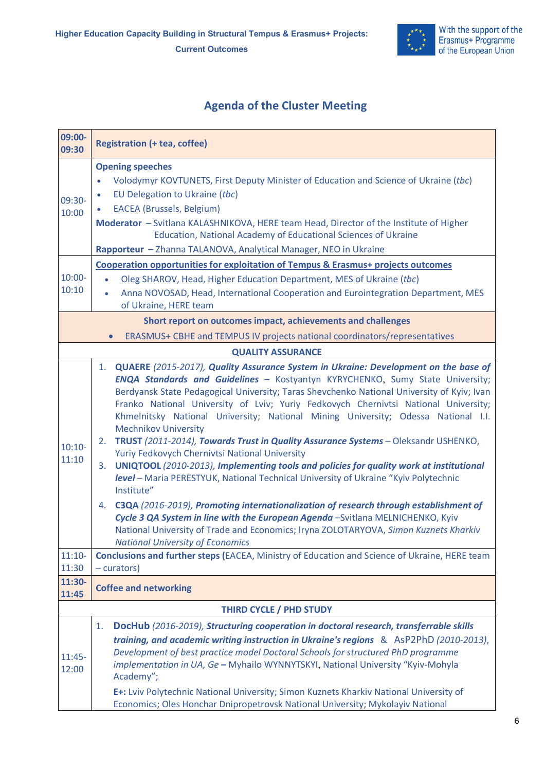

# **Agenda of the Cluster Meeting**

| 09:00-<br>09:30                                                                                                     | <b>Registration (+ tea, coffee)</b>                                                                                                                                                                                                                                                                                                                                                                                                                                                                                                                                                                                                                                                                                                                                                                                                                                                                                                                                                                                                                                                                                                                                |  |  |  |  |
|---------------------------------------------------------------------------------------------------------------------|--------------------------------------------------------------------------------------------------------------------------------------------------------------------------------------------------------------------------------------------------------------------------------------------------------------------------------------------------------------------------------------------------------------------------------------------------------------------------------------------------------------------------------------------------------------------------------------------------------------------------------------------------------------------------------------------------------------------------------------------------------------------------------------------------------------------------------------------------------------------------------------------------------------------------------------------------------------------------------------------------------------------------------------------------------------------------------------------------------------------------------------------------------------------|--|--|--|--|
| 09:30-<br>10:00                                                                                                     | <b>Opening speeches</b><br>Volodymyr KOVTUNETS, First Deputy Minister of Education and Science of Ukraine (tbc)<br>$\bullet$<br>EU Delegation to Ukraine (tbc)<br>$\bullet$<br><b>EACEA</b> (Brussels, Belgium)<br>۰<br>Moderator - Svitlana KALASHNIKOVA, HERE team Head, Director of the Institute of Higher<br>Education, National Academy of Educational Sciences of Ukraine<br>Rapporteur - Zhanna TALANOVA, Analytical Manager, NEO in Ukraine                                                                                                                                                                                                                                                                                                                                                                                                                                                                                                                                                                                                                                                                                                               |  |  |  |  |
| $10:00 -$<br>10:10                                                                                                  | <b>Cooperation opportunities for exploitation of Tempus &amp; Erasmus+ projects outcomes</b><br>Oleg SHAROV, Head, Higher Education Department, MES of Ukraine (tbc)<br>$\bullet$<br>Anna NOVOSAD, Head, International Cooperation and Eurointegration Department, MES<br>$\bullet$<br>of Ukraine, HERE team                                                                                                                                                                                                                                                                                                                                                                                                                                                                                                                                                                                                                                                                                                                                                                                                                                                       |  |  |  |  |
| Short report on outcomes impact, achievements and challenges                                                        |                                                                                                                                                                                                                                                                                                                                                                                                                                                                                                                                                                                                                                                                                                                                                                                                                                                                                                                                                                                                                                                                                                                                                                    |  |  |  |  |
| ERASMUS+ CBHE and TEMPUS IV projects national coordinators/representatives<br>$\bullet$<br><b>QUALITY ASSURANCE</b> |                                                                                                                                                                                                                                                                                                                                                                                                                                                                                                                                                                                                                                                                                                                                                                                                                                                                                                                                                                                                                                                                                                                                                                    |  |  |  |  |
| $10:10-$<br>11:10                                                                                                   | QUAERE (2015-2017), Quality Assurance System in Ukraine: Development on the base of<br>1.<br><b>ENQA Standards and Guidelines -</b> Kostyantyn KYRYCHENKO, Sumy State University;<br>Berdyansk State Pedagogical University; Taras Shevchenko National University of Kyiv; Ivan<br>Franko National University of Lviv; Yuriy Fedkovych Chernivtsi National University;<br>Khmelnitsky National University; National Mining University; Odessa National I.I.<br><b>Mechnikov University</b><br>TRUST (2011-2014), Towards Trust in Quality Assurance Systems - Oleksandr USHENKO,<br>2.<br>Yuriy Fedkovych Chernivtsi National University<br>UNIQTOOL (2010-2013), Implementing tools and policies for quality work at institutional<br>3.<br>level - Maria PERESTYUK, National Technical University of Ukraine "Kyiv Polytechnic<br>Institute"<br>C3QA (2016-2019), Promoting internationalization of research through establishment of<br>4.<br>Cycle 3 QA System in line with the European Agenda -Svitlana MELNICHENKO, Kyiv<br>National University of Trade and Economics; Iryna ZOLOTARYOVA, Simon Kuznets Kharkiv<br><b>National University of Economics</b> |  |  |  |  |
| $11:10-$<br>11:30                                                                                                   | Conclusions and further steps (EACEA, Ministry of Education and Science of Ukraine, HERE team<br>$-curators)$                                                                                                                                                                                                                                                                                                                                                                                                                                                                                                                                                                                                                                                                                                                                                                                                                                                                                                                                                                                                                                                      |  |  |  |  |
| 11:30-<br>11:45                                                                                                     | <b>Coffee and networking</b>                                                                                                                                                                                                                                                                                                                                                                                                                                                                                                                                                                                                                                                                                                                                                                                                                                                                                                                                                                                                                                                                                                                                       |  |  |  |  |
| THIRD CYCLE / PHD STUDY                                                                                             |                                                                                                                                                                                                                                                                                                                                                                                                                                                                                                                                                                                                                                                                                                                                                                                                                                                                                                                                                                                                                                                                                                                                                                    |  |  |  |  |
| $11:45-$<br>12:00                                                                                                   | DocHub (2016-2019), Structuring cooperation in doctoral research, transferrable skills<br>1.<br>training, and academic writing instruction in Ukraine's regions & AsP2PhD (2010-2013),<br>Development of best practice model Doctoral Schools for structured PhD programme<br>implementation in UA, Ge - Myhailo WYNNYTSKYI, National University "Kyiv-Mohyla<br>Academy";<br>E+: Lviv Polytechnic National University; Simon Kuznets Kharkiv National University of<br>Economics; Oles Honchar Dnipropetrovsk National University; Mykolayiv National                                                                                                                                                                                                                                                                                                                                                                                                                                                                                                                                                                                                             |  |  |  |  |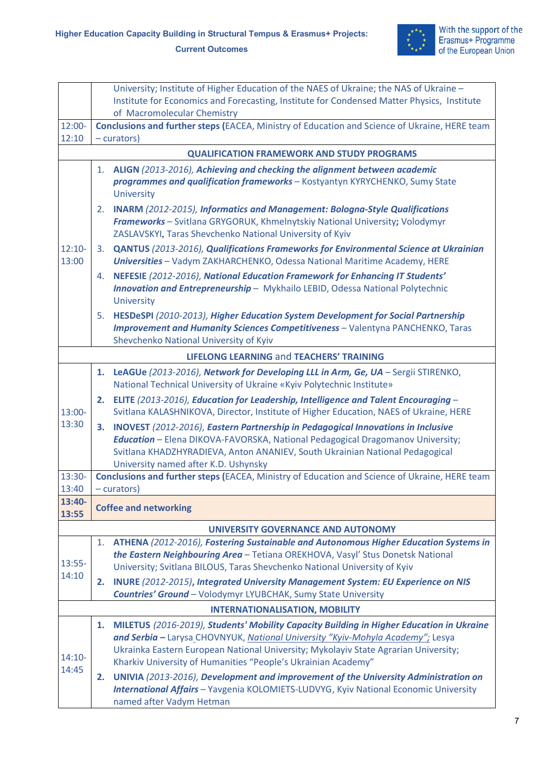

|                   | University; Institute of Higher Education of the NAES of Ukraine; the NAS of Ukraine -<br>Institute for Economics and Forecasting, Institute for Condensed Matter Physics, Institute |                                                                                                                                                                                                                                                                                                                                       |  |  |  |
|-------------------|--------------------------------------------------------------------------------------------------------------------------------------------------------------------------------------|---------------------------------------------------------------------------------------------------------------------------------------------------------------------------------------------------------------------------------------------------------------------------------------------------------------------------------------|--|--|--|
|                   | of Macromolecular Chemistry                                                                                                                                                          |                                                                                                                                                                                                                                                                                                                                       |  |  |  |
| 12:00-            |                                                                                                                                                                                      | Conclusions and further steps (EACEA, Ministry of Education and Science of Ukraine, HERE team                                                                                                                                                                                                                                         |  |  |  |
| 12:10             |                                                                                                                                                                                      | $-curators)$                                                                                                                                                                                                                                                                                                                          |  |  |  |
|                   |                                                                                                                                                                                      | <b>QUALIFICATION FRAMEWORK AND STUDY PROGRAMS</b>                                                                                                                                                                                                                                                                                     |  |  |  |
| $12:10-$<br>13:00 |                                                                                                                                                                                      | 1. ALIGN (2013-2016), Achieving and checking the alignment between academic<br>programmes and qualification frameworks - Kostyantyn KYRYCHENKO, Sumy State<br><b>University</b>                                                                                                                                                       |  |  |  |
|                   | 2.                                                                                                                                                                                   | INARM (2012-2015), Informatics and Management: Bologna-Style Qualifications<br>Frameworks - Svitlana GRYGORUK, Khmelnytskiy National University; Volodymyr<br>ZASLAVSKYI, Taras Shevchenko National University of Kyiv                                                                                                                |  |  |  |
|                   |                                                                                                                                                                                      | 3. QANTUS (2013-2016), Qualifications Frameworks for Environmental Science at Ukrainian<br><b>Universities - Vadym ZAKHARCHENKO, Odessa National Maritime Academy, HERE</b>                                                                                                                                                           |  |  |  |
|                   | 4.                                                                                                                                                                                   | NEFESIE (2012-2016), National Education Framework for Enhancing IT Students'<br>Innovation and Entrepreneurship - Mykhailo LEBID, Odessa National Polytechnic<br><b>University</b>                                                                                                                                                    |  |  |  |
|                   |                                                                                                                                                                                      | 5. HESDeSPI (2010-2013), Higher Education System Development for Social Partnership<br>Improvement and Humanity Sciences Competitiveness - Valentyna PANCHENKO, Taras<br>Shevchenko National University of Kyiv                                                                                                                       |  |  |  |
|                   |                                                                                                                                                                                      | LIFELONG LEARNING and TEACHERS' TRAINING                                                                                                                                                                                                                                                                                              |  |  |  |
| 13:00-<br>13:30   |                                                                                                                                                                                      | 1. LeAGUe (2013-2016), Network for Developing LLL in Arm, Ge, UA - Sergii STIRENKO,<br>National Technical University of Ukraine «Kyiv Polytechnic Institute»                                                                                                                                                                          |  |  |  |
|                   |                                                                                                                                                                                      | 2. ELITE (2013-2016), Education for Leadership, Intelligence and Talent Encouraging -<br>Svitlana KALASHNIKOVA, Director, Institute of Higher Education, NAES of Ukraine, HERE                                                                                                                                                        |  |  |  |
|                   | 3.                                                                                                                                                                                   | INOVEST (2012-2016), Eastern Partnership in Pedagogical Innovations in Inclusive<br><b>Education - Elena DIKOVA-FAVORSKA, National Pedagogical Dragomanov University;</b><br>Svitlana KHADZHYRADIEVA, Anton ANANIEV, South Ukrainian National Pedagogical<br>University named after K.D. Ushynsky                                     |  |  |  |
| 13:30-            |                                                                                                                                                                                      | Conclusions and further steps (EACEA, Ministry of Education and Science of Ukraine, HERE team                                                                                                                                                                                                                                         |  |  |  |
| 13:40             | - curators)                                                                                                                                                                          |                                                                                                                                                                                                                                                                                                                                       |  |  |  |
| $13:40-$<br>13:55 | <b>Coffee and networking</b>                                                                                                                                                         |                                                                                                                                                                                                                                                                                                                                       |  |  |  |
|                   |                                                                                                                                                                                      | UNIVERSITY GOVERNANCE AND AUTONOMY                                                                                                                                                                                                                                                                                                    |  |  |  |
| $13:55-$<br>14:10 |                                                                                                                                                                                      | 1. ATHENA (2012-2016), Fostering Sustainable and Autonomous Higher Education Systems in<br>the Eastern Neighbouring Area - Tetiana OREKHOVA, Vasyl' Stus Donetsk National<br>University; Svitlana BILOUS, Taras Shevchenko National University of Kyiv                                                                                |  |  |  |
|                   | 2.                                                                                                                                                                                   | INURE (2012-2015), Integrated University Management System: EU Experience on NIS<br><b>Countries' Ground - Volodymyr LYUBCHAK, Sumy State University</b>                                                                                                                                                                              |  |  |  |
|                   |                                                                                                                                                                                      | <b>INTERNATIONALISATION, MOBILITY</b>                                                                                                                                                                                                                                                                                                 |  |  |  |
| $14:10-$<br>14:45 |                                                                                                                                                                                      | 1. MILETUS (2016-2019), Students' Mobility Capacity Building in Higher Education in Ukraine<br>and Serbia - Larysa CHOVNYUK, National University "Kyiv-Mohyla Academy"; Lesya<br>Ukrainka Eastern European National University; Mykolayiv State Agrarian University;<br>Kharkiv University of Humanities "People's Ukrainian Academy" |  |  |  |
|                   | 2.                                                                                                                                                                                   | UNIVIA (2013-2016), Development and improvement of the University Administration on<br><b>International Affairs</b> - Yavgenia KOLOMIETS-LUDVYG, Kyiv National Economic University<br>named after Vadym Hetman                                                                                                                        |  |  |  |